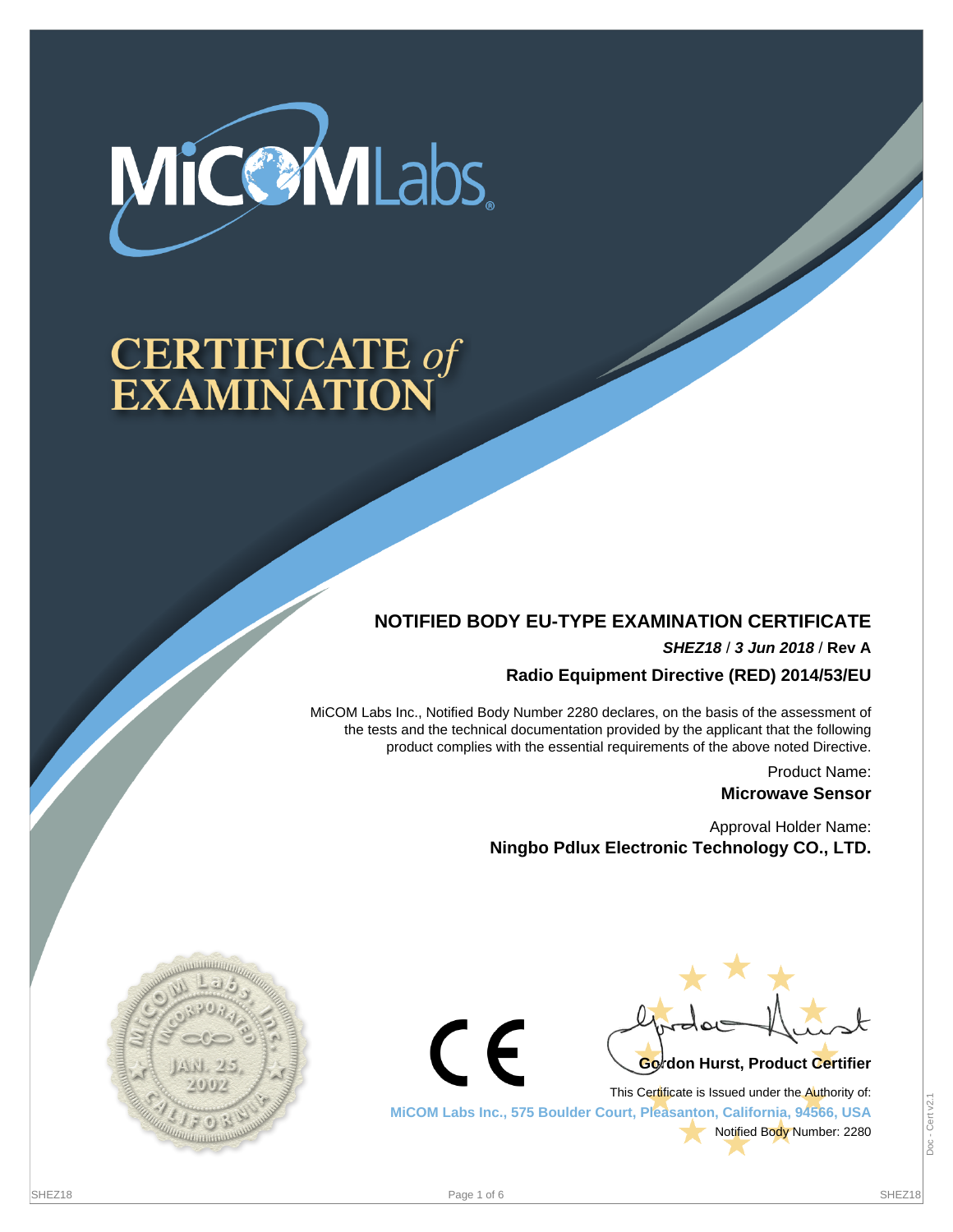

# **CERTIFICATE of<br>EXAMINATION**

## **NOTIFIED BODY EU-TYPE EXAMINATION CERTIFICATE**

**SHEZ18** / **3 Jun 2018** / **Rev A**

**Radio Equipment Directive (RED) 2014/53/EU**

MiCOM Labs Inc., Notified Body Number 2280 declares, on the basis of the assessment of the tests and the technical documentation provided by the applicant that the following product complies with the essential requirements of the above noted Directive.

> Product Name: **Microwave Sensor**

Approval Holder Name: **Ningbo Pdlux Electronic Technology CO., LTD.**





This Certificate is Issued under the Authority of: **MiCOM Labs Inc., 575 Boulder Court, Pleasanton, California, 94566, USA** Notified Body Number: 2280

 $\epsilon$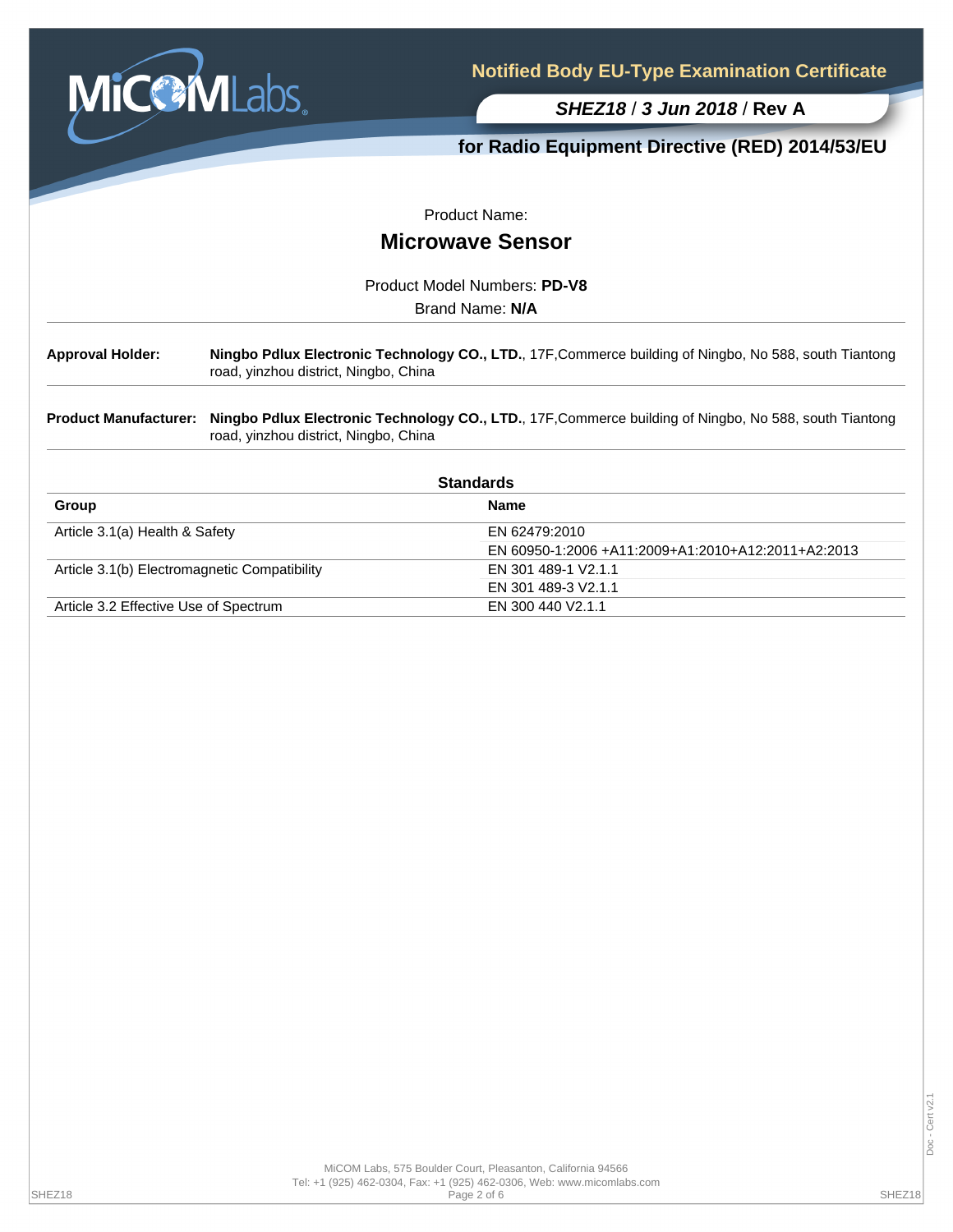

**for Radio Equipment Directive (RED) 2014/53/EU**

Product Name:

# **Microwave Sensor**

Product Model Numbers: **PD-V8**

Brand Name: **N/A**

**Approval Holder: Ningbo Pdlux Electronic Technology CO., LTD.**, 17F,Commerce building of Ningbo, No 588, south Tiantong road, yinzhou district, Ningbo, China

**Product Manufacturer: Ningbo Pdlux Electronic Technology CO., LTD.**, 17F,Commerce building of Ningbo, No 588, south Tiantong road, yinzhou district, Ningbo, China

| <b>Standards</b>                             |                                                    |  |  |
|----------------------------------------------|----------------------------------------------------|--|--|
| Group                                        | <b>Name</b>                                        |  |  |
| Article 3.1(a) Health & Safety               | EN 62479:2010                                      |  |  |
|                                              | EN 60950-1:2006 +A11:2009+A1:2010+A12:2011+A2:2013 |  |  |
| Article 3.1(b) Electromagnetic Compatibility | EN 301 489-1 V2.1.1                                |  |  |
|                                              | EN 301 489-3 V2.1.1                                |  |  |
| Article 3.2 Effective Use of Spectrum        | EN 300 440 V2.1.1                                  |  |  |

Cert v2.1 Doc - Cert v2.1Doc-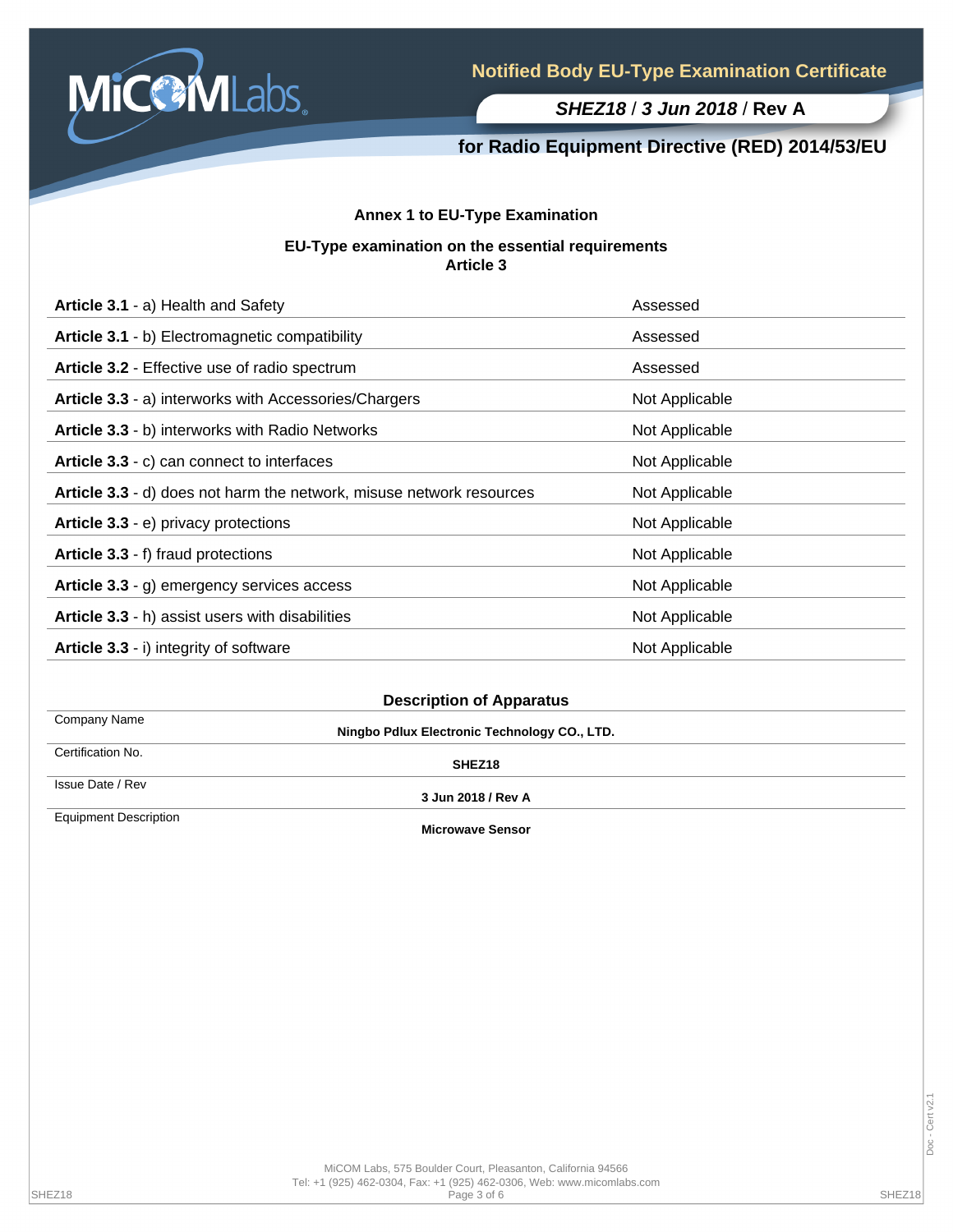

## **for Radio Equipment Directive (RED) 2014/53/EU**

### **Annex 1 to EU-Type Examination**

#### **EU-Type examination on the essential requirements Article 3**

| Article 3.1 - a) Health and Safety                                   | Assessed       |
|----------------------------------------------------------------------|----------------|
| Article 3.1 - b) Electromagnetic compatibility                       | Assessed       |
| <b>Article 3.2 - Effective use of radio spectrum</b>                 | Assessed       |
| Article 3.3 - a) interworks with Accessories/Chargers                | Not Applicable |
| Article 3.3 - b) interworks with Radio Networks                      | Not Applicable |
| Article 3.3 - c) can connect to interfaces                           | Not Applicable |
| Article 3.3 - d) does not harm the network, misuse network resources | Not Applicable |
| Article 3.3 - e) privacy protections                                 | Not Applicable |
| Article 3.3 - f) fraud protections                                   | Not Applicable |
| Article 3.3 - g) emergency services access                           | Not Applicable |
| Article 3.3 - h) assist users with disabilities                      | Not Applicable |
| Article 3.3 - i) integrity of software                               | Not Applicable |

Company Name Certification No.

**Ningbo Pdlux Electronic Technology CO., LTD.**

**SHEZ18**

Issue Date / Rev

Equipment Description

**3 Jun 2018 / Rev A**

**Microwave Sensor**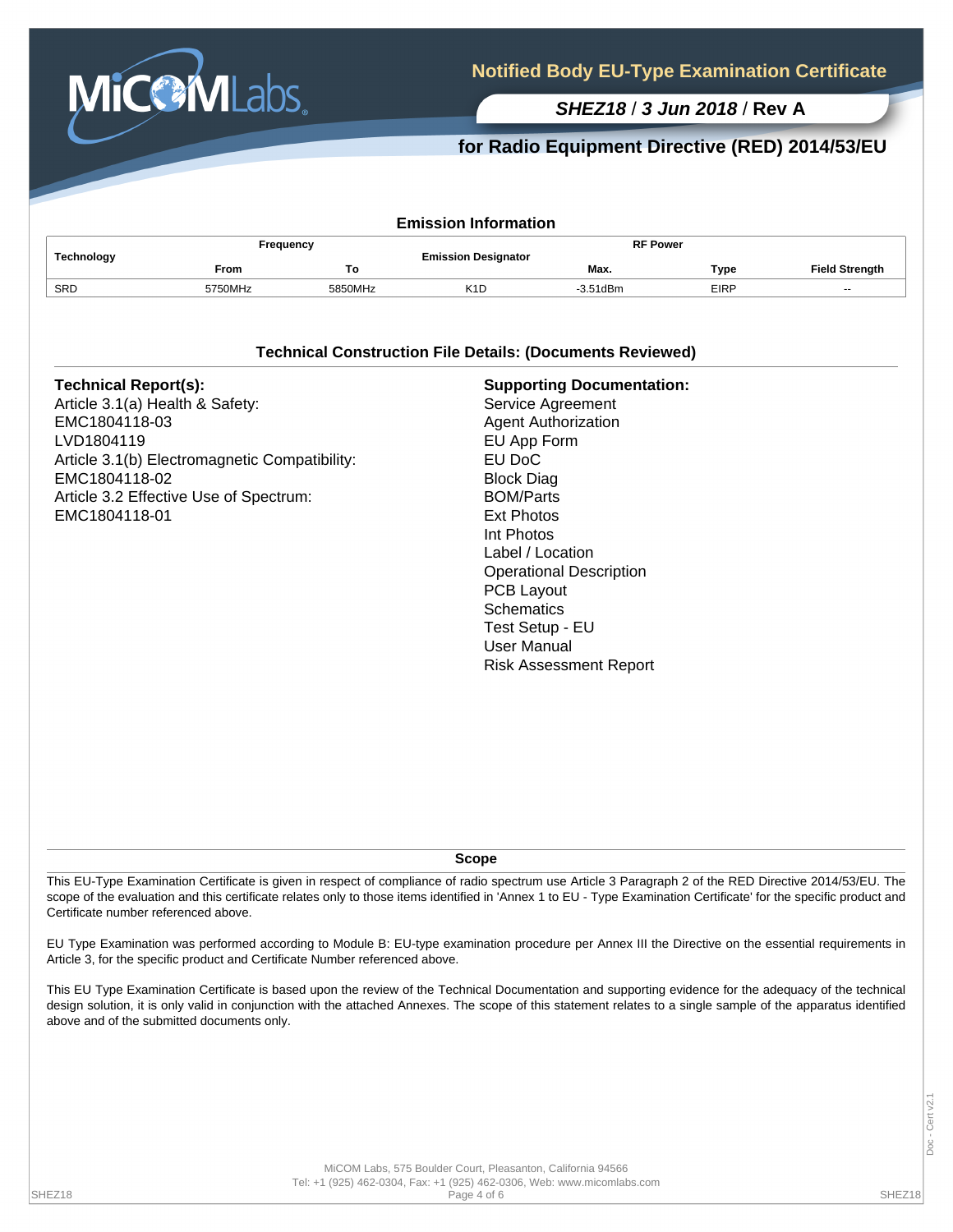

## **for Radio Equipment Directive (RED) 2014/53/EU**

| <b>Emission Information</b> |             |         |                            |                 |             |                       |  |  |
|-----------------------------|-------------|---------|----------------------------|-----------------|-------------|-----------------------|--|--|
| Technology                  | Frequency   |         | <b>Emission Designator</b> | <b>RF Power</b> |             |                       |  |  |
|                             | <b>From</b> | То      |                            | Max.            | Type        | <b>Field Strength</b> |  |  |
| SRD                         | 5750MHz     | 5850MHz | K1D                        | $-3.51$ d $Bm$  | <b>EIRP</b> | $-$                   |  |  |

#### **Technical Construction File Details: (Documents Reviewed)**

| <b>Technical Report(s):</b><br>Article 3.1(a) Health & Safety:<br>EMC1804118-03<br>LVD1804119<br>Article 3.1(b) Electromagnetic Compatibility:<br>EMC1804118-02<br>Article 3.2 Effective Use of Spectrum:<br>EMC1804118-01 | <b>Supporting Documentation:</b><br>Service Agreement<br><b>Agent Authorization</b><br>EU App Form<br>EU DoC<br><b>Block Diag</b><br><b>BOM/Parts</b><br><b>Ext Photos</b><br>Int Photos<br>Label / Location<br><b>Operational Description</b><br>PCB Layout<br><b>Schematics</b><br>Test Setup - EU<br><b>User Manual</b><br><b>Risk Assessment Report</b> |
|----------------------------------------------------------------------------------------------------------------------------------------------------------------------------------------------------------------------------|-------------------------------------------------------------------------------------------------------------------------------------------------------------------------------------------------------------------------------------------------------------------------------------------------------------------------------------------------------------|
|----------------------------------------------------------------------------------------------------------------------------------------------------------------------------------------------------------------------------|-------------------------------------------------------------------------------------------------------------------------------------------------------------------------------------------------------------------------------------------------------------------------------------------------------------------------------------------------------------|

**Scope**

This EU-Type Examination Certificate is given in respect of compliance of radio spectrum use Article 3 Paragraph 2 of the RED Directive 2014/53/EU. The scope of the evaluation and this certificate relates only to those items identified in 'Annex 1 to EU - Type Examination Certificate' for the specific product and Certificate number referenced above.

EU Type Examination was performed according to Module B: EU-type examination procedure per Annex III the Directive on the essential requirements in Article 3, for the specific product and Certificate Number referenced above.

This EU Type Examination Certificate is based upon the review of the Technical Documentation and supporting evidence for the adequacy of the technical design solution, it is only valid in conjunction with the attached Annexes. The scope of this statement relates to a single sample of the apparatus identified above and of the submitted documents only.

MiCOM Labs, 575 Boulder Court, Pleasanton, California 94566 Tel: +1 (925) 462-0304, Fax: +1 (925) 462-0306, Web: www.micomlabs.com SHEZ18 Page 4 of 6 SHEZ18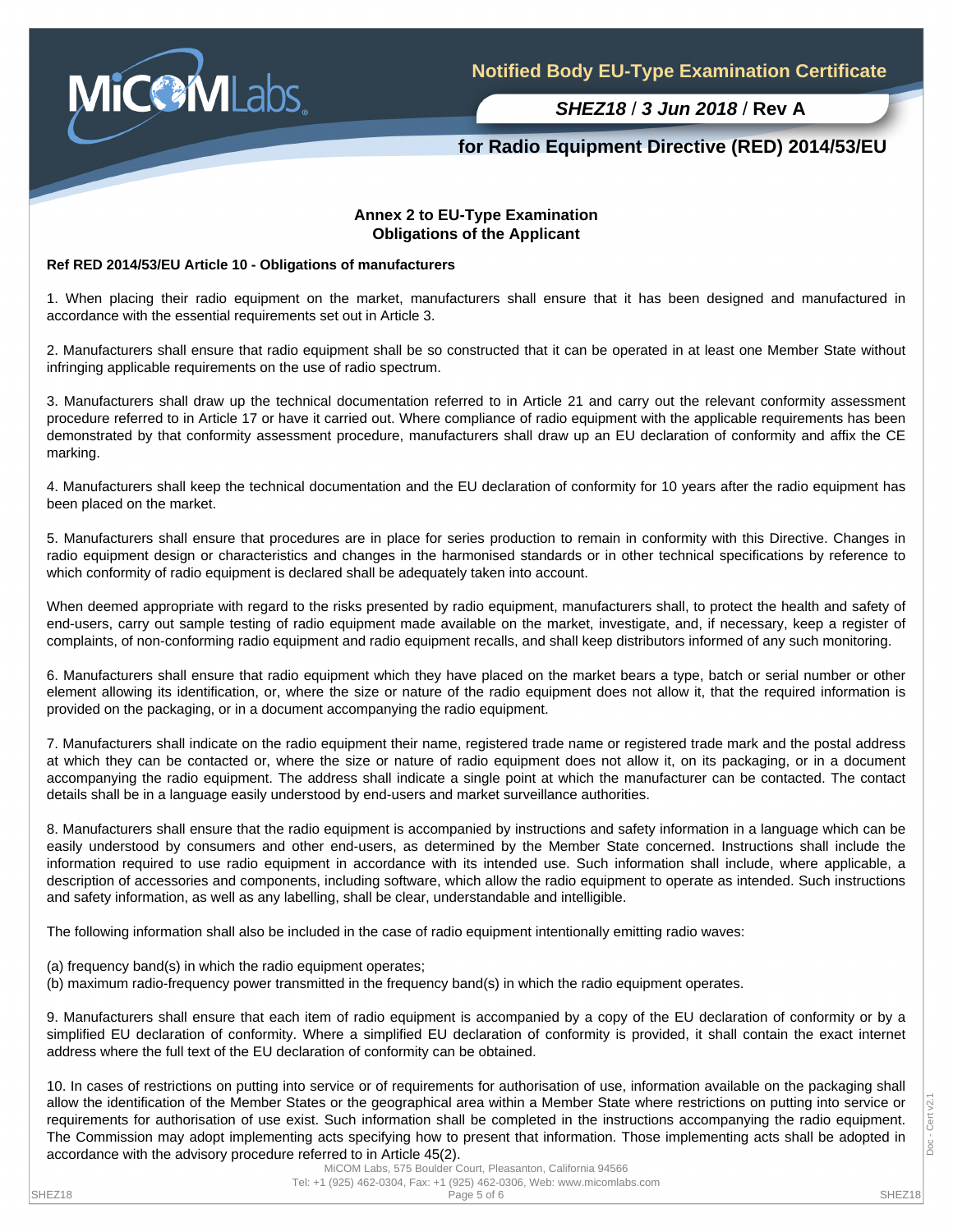

## **for Radio Equipment Directive (RED) 2014/53/EU**

#### **Annex 2 to EU-Type Examination Obligations of the Applicant**

#### **Ref RED 2014/53/EU Article 10 - Obligations of manufacturers**

1. When placing their radio equipment on the market, manufacturers shall ensure that it has been designed and manufactured in accordance with the essential requirements set out in Article 3.

2. Manufacturers shall ensure that radio equipment shall be so constructed that it can be operated in at least one Member State without infringing applicable requirements on the use of radio spectrum.

3. Manufacturers shall draw up the technical documentation referred to in Article 21 and carry out the relevant conformity assessment procedure referred to in Article 17 or have it carried out. Where compliance of radio equipment with the applicable requirements has been demonstrated by that conformity assessment procedure, manufacturers shall draw up an EU declaration of conformity and affix the CE marking.

4. Manufacturers shall keep the technical documentation and the EU declaration of conformity for 10 years after the radio equipment has been placed on the market.

5. Manufacturers shall ensure that procedures are in place for series production to remain in conformity with this Directive. Changes in radio equipment design or characteristics and changes in the harmonised standards or in other technical specifications by reference to which conformity of radio equipment is declared shall be adequately taken into account.

When deemed appropriate with regard to the risks presented by radio equipment, manufacturers shall, to protect the health and safety of end-users, carry out sample testing of radio equipment made available on the market, investigate, and, if necessary, keep a register of complaints, of non-conforming radio equipment and radio equipment recalls, and shall keep distributors informed of any such monitoring.

6. Manufacturers shall ensure that radio equipment which they have placed on the market bears a type, batch or serial number or other element allowing its identification, or, where the size or nature of the radio equipment does not allow it, that the required information is provided on the packaging, or in a document accompanying the radio equipment.

7. Manufacturers shall indicate on the radio equipment their name, registered trade name or registered trade mark and the postal address at which they can be contacted or, where the size or nature of radio equipment does not allow it, on its packaging, or in a document accompanying the radio equipment. The address shall indicate a single point at which the manufacturer can be contacted. The contact details shall be in a language easily understood by end-users and market surveillance authorities.

8. Manufacturers shall ensure that the radio equipment is accompanied by instructions and safety information in a language which can be easily understood by consumers and other end-users, as determined by the Member State concerned. Instructions shall include the information required to use radio equipment in accordance with its intended use. Such information shall include, where applicable, a description of accessories and components, including software, which allow the radio equipment to operate as intended. Such instructions and safety information, as well as any labelling, shall be clear, understandable and intelligible.

The following information shall also be included in the case of radio equipment intentionally emitting radio waves:

- (a) frequency band(s) in which the radio equipment operates;
- (b) maximum radio-frequency power transmitted in the frequency band(s) in which the radio equipment operates.

9. Manufacturers shall ensure that each item of radio equipment is accompanied by a copy of the EU declaration of conformity or by a simplified EU declaration of conformity. Where a simplified EU declaration of conformity is provided, it shall contain the exact internet address where the full text of the EU declaration of conformity can be obtained.

10. In cases of restrictions on putting into service or of requirements for authorisation of use, information available on the packaging shall allow the identification of the Member States or the geographical area within a Member State where restrictions on putting into service or requirements for authorisation of use exist. Such information shall be completed in the instructions accompanying the radio equipment. The Commission may adopt implementing acts specifying how to present that information. Those implementing acts shall be adopted in accordance with the advisory procedure referred to in Article 45(2).